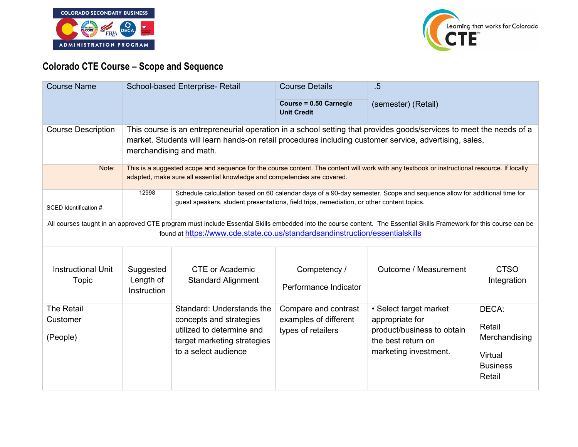



## **Colorado CTE Course – Scope and Sequence**

| <b>Course Name</b>                                                                                                                                                                                                                                                                    |                                                                                                                                                                                                                          | School-based Enterprise- Retail                                                                                                                                                                                    | <b>Course Details</b><br>Course = 0.50 Carnegie<br><b>Unit Credit</b> | $.5\,$<br>(semester) (Retail)                                                                                          |                                                                          |
|---------------------------------------------------------------------------------------------------------------------------------------------------------------------------------------------------------------------------------------------------------------------------------------|--------------------------------------------------------------------------------------------------------------------------------------------------------------------------------------------------------------------------|--------------------------------------------------------------------------------------------------------------------------------------------------------------------------------------------------------------------|-----------------------------------------------------------------------|------------------------------------------------------------------------------------------------------------------------|--------------------------------------------------------------------------|
| <b>Course Description</b><br>This course is an entrepreneurial operation in a school setting that provides goods/services to meet the needs of a<br>market. Students will learn hands-on retail procedures including customer service, advertising, sales,<br>merchandising and math. |                                                                                                                                                                                                                          |                                                                                                                                                                                                                    |                                                                       |                                                                                                                        |                                                                          |
| Note:                                                                                                                                                                                                                                                                                 | This is a suggested scope and sequence for the course content. The content will work with any textbook or instructional resource. If locally<br>adapted, make sure all essential knowledge and competencies are covered. |                                                                                                                                                                                                                    |                                                                       |                                                                                                                        |                                                                          |
| SCED Identification #                                                                                                                                                                                                                                                                 | 12998                                                                                                                                                                                                                    | Schedule calculation based on 60 calendar days of a 90-day semester. Scope and sequence allow for additional time for<br>guest speakers, student presentations, field trips, remediation, or other content topics. |                                                                       |                                                                                                                        |                                                                          |
| All courses taught in an approved CTE program must include Essential Skills embedded into the course content. The Essential Skills Framework for this course can be<br>found at https://www.cde.state.co.us/standardsandinstruction/essentialskills                                   |                                                                                                                                                                                                                          |                                                                                                                                                                                                                    |                                                                       |                                                                                                                        |                                                                          |
| <b>Instructional Unit</b><br>Topic                                                                                                                                                                                                                                                    | Suggested<br>Length of<br>Instruction                                                                                                                                                                                    | <b>CTE or Academic</b><br><b>Standard Alignment</b>                                                                                                                                                                | Competency /<br>Performance Indicator                                 | Outcome / Measurement                                                                                                  | <b>CTSO</b><br>Integration                                               |
| <b>The Retail</b><br>Customer<br>(People)                                                                                                                                                                                                                                             |                                                                                                                                                                                                                          | Standard: Understands the<br>concepts and strategies<br>utilized to determine and<br>target marketing strategies<br>to a select audience                                                                           | Compare and contrast<br>examples of different<br>types of retailers   | • Select target market<br>appropriate for<br>product/business to obtain<br>the best return on<br>marketing investment. | DECA:<br>Retail<br>Merchandising<br>Virtual<br><b>Business</b><br>Retail |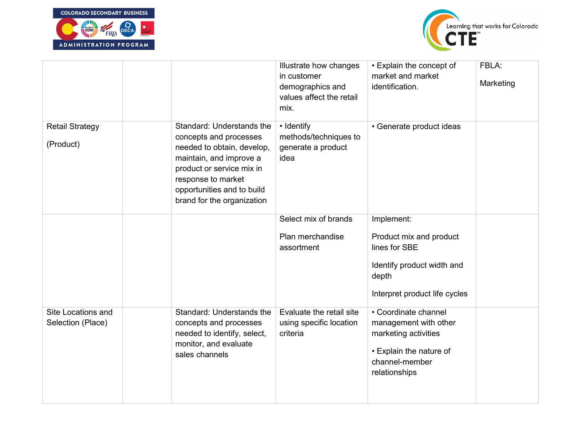



|                                         |                                                                                                                                                                                                                             | Illustrate how changes<br>in customer<br>demographics and<br>values affect the retail<br>mix. | • Explain the concept of<br>market and market<br>identification.                                                                    | FBLA:<br>Marketing |
|-----------------------------------------|-----------------------------------------------------------------------------------------------------------------------------------------------------------------------------------------------------------------------------|-----------------------------------------------------------------------------------------------|-------------------------------------------------------------------------------------------------------------------------------------|--------------------|
| <b>Retail Strategy</b><br>(Product)     | Standard: Understands the<br>concepts and processes<br>needed to obtain, develop,<br>maintain, and improve a<br>product or service mix in<br>response to market<br>opportunities and to build<br>brand for the organization | • Identify<br>methods/techniques to<br>generate a product<br>idea                             | • Generate product ideas                                                                                                            |                    |
|                                         |                                                                                                                                                                                                                             | Select mix of brands<br>Plan merchandise<br>assortment                                        | Implement:<br>Product mix and product<br>lines for SBE<br>Identify product width and<br>depth<br>Interpret product life cycles      |                    |
| Site Locations and<br>Selection (Place) | Standard: Understands the<br>concepts and processes<br>needed to identify, select,<br>monitor, and evaluate<br>sales channels                                                                                               | Evaluate the retail site<br>using specific location<br>criteria                               | • Coordinate channel<br>management with other<br>marketing activities<br>• Explain the nature of<br>channel-member<br>relationships |                    |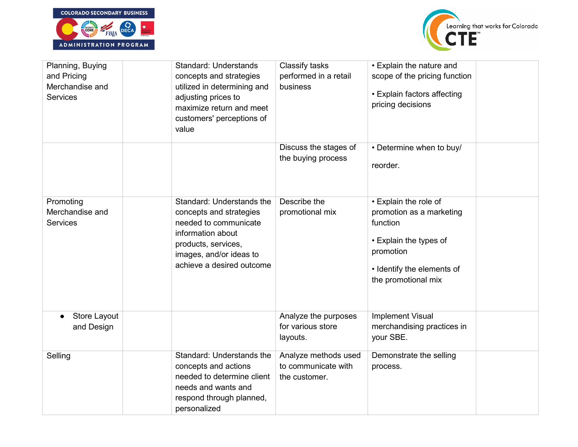



| Planning, Buying<br>and Pricing<br>Merchandise and<br><b>Services</b> | <b>Standard: Understands</b><br>concepts and strategies<br>utilized in determining and<br>adjusting prices to<br>maximize return and meet<br>customers' perceptions of<br>value   | Classify tasks<br>performed in a retail<br>business          | • Explain the nature and<br>scope of the pricing function<br>• Explain factors affecting<br>pricing decisions                                             |  |
|-----------------------------------------------------------------------|-----------------------------------------------------------------------------------------------------------------------------------------------------------------------------------|--------------------------------------------------------------|-----------------------------------------------------------------------------------------------------------------------------------------------------------|--|
|                                                                       |                                                                                                                                                                                   | Discuss the stages of<br>the buying process                  | • Determine when to buy/<br>reorder.                                                                                                                      |  |
| Promoting<br>Merchandise and<br><b>Services</b>                       | Standard: Understands the<br>concepts and strategies<br>needed to communicate<br>information about<br>products, services,<br>images, and/or ideas to<br>achieve a desired outcome | Describe the<br>promotional mix                              | • Explain the role of<br>promotion as a marketing<br>function<br>• Explain the types of<br>promotion<br>• Identify the elements of<br>the promotional mix |  |
| Store Layout<br>and Design                                            |                                                                                                                                                                                   | Analyze the purposes<br>for various store<br>layouts.        | <b>Implement Visual</b><br>merchandising practices in<br>your SBE.                                                                                        |  |
| Selling                                                               | Standard: Understands the<br>concepts and actions<br>needed to determine client<br>needs and wants and<br>respond through planned,<br>personalized                                | Analyze methods used<br>to communicate with<br>the customer. | Demonstrate the selling<br>process.                                                                                                                       |  |